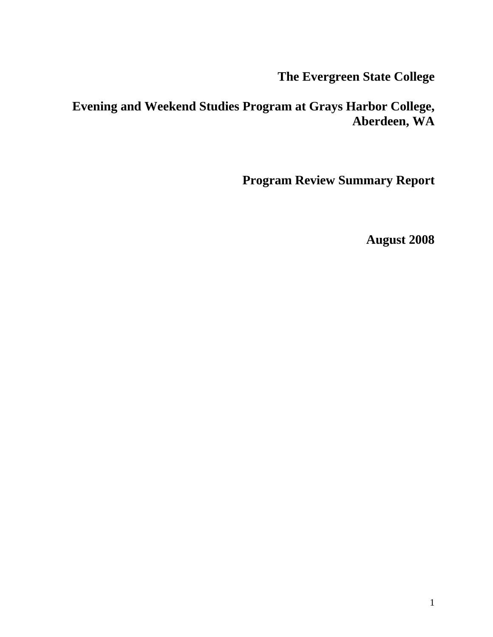**The Evergreen State College** 

# **Evening and Weekend Studies Program at Grays Harbor College, Aberdeen, WA**

**Program Review Summary Report** 

**August 2008**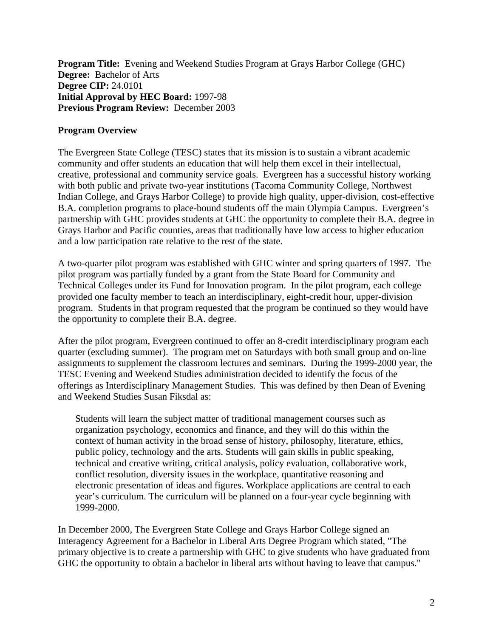**Program Title:** Evening and Weekend Studies Program at Grays Harbor College (GHC) **Degree:** Bachelor of Arts **Degree CIP:** 24.0101 **Initial Approval by HEC Board:** 1997-98 **Previous Program Review:** December 2003

#### **Program Overview**

The Evergreen State College (TESC) states that its mission is to sustain a vibrant academic community and offer students an education that will help them excel in their intellectual, creative, professional and community service goals. Evergreen has a successful history working with both public and private two-year institutions (Tacoma Community College, Northwest Indian College, and Grays Harbor College) to provide high quality, upper-division, cost-effective B.A. completion programs to place-bound students off the main Olympia Campus. Evergreen's partnership with GHC provides students at GHC the opportunity to complete their B.A. degree in Grays Harbor and Pacific counties, areas that traditionally have low access to higher education and a low participation rate relative to the rest of the state.

A two-quarter pilot program was established with GHC winter and spring quarters of 1997. The pilot program was partially funded by a grant from the State Board for Community and Technical Colleges under its Fund for Innovation program. In the pilot program, each college provided one faculty member to teach an interdisciplinary, eight-credit hour, upper-division program. Students in that program requested that the program be continued so they would have the opportunity to complete their B.A. degree.

After the pilot program, Evergreen continued to offer an 8-credit interdisciplinary program each quarter (excluding summer). The program met on Saturdays with both small group and on-line assignments to supplement the classroom lectures and seminars. During the 1999-2000 year, the TESC Evening and Weekend Studies administration decided to identify the focus of the offerings as Interdisciplinary Management Studies. This was defined by then Dean of Evening and Weekend Studies Susan Fiksdal as:

Students will learn the subject matter of traditional management courses such as organization psychology, economics and finance, and they will do this within the context of human activity in the broad sense of history, philosophy, literature, ethics, public policy, technology and the arts. Students will gain skills in public speaking, technical and creative writing, critical analysis, policy evaluation, collaborative work, conflict resolution, diversity issues in the workplace, quantitative reasoning and electronic presentation of ideas and figures. Workplace applications are central to each year's curriculum. The curriculum will be planned on a four-year cycle beginning with 1999-2000.

In December 2000, The Evergreen State College and Grays Harbor College signed an Interagency Agreement for a Bachelor in Liberal Arts Degree Program which stated, "The primary objective is to create a partnership with GHC to give students who have graduated from GHC the opportunity to obtain a bachelor in liberal arts without having to leave that campus."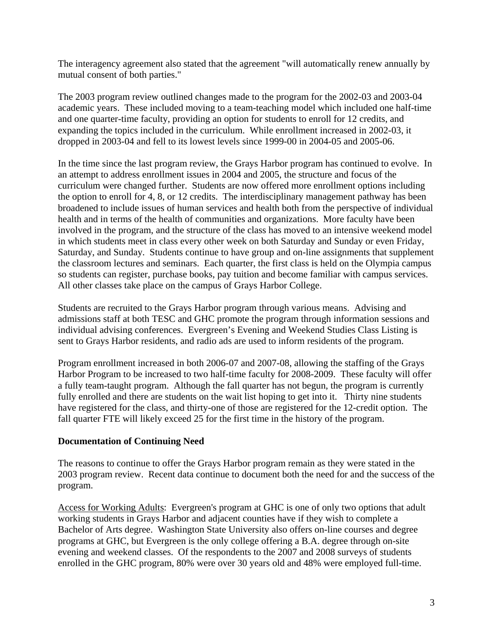The interagency agreement also stated that the agreement "will automatically renew annually by mutual consent of both parties."

The 2003 program review outlined changes made to the program for the 2002-03 and 2003-04 academic years. These included moving to a team-teaching model which included one half-time and one quarter-time faculty, providing an option for students to enroll for 12 credits, and expanding the topics included in the curriculum. While enrollment increased in 2002-03, it dropped in 2003-04 and fell to its lowest levels since 1999-00 in 2004-05 and 2005-06.

In the time since the last program review, the Grays Harbor program has continued to evolve. In an attempt to address enrollment issues in 2004 and 2005, the structure and focus of the curriculum were changed further. Students are now offered more enrollment options including the option to enroll for 4, 8, or 12 credits. The interdisciplinary management pathway has been broadened to include issues of human services and health both from the perspective of individual health and in terms of the health of communities and organizations. More faculty have been involved in the program, and the structure of the class has moved to an intensive weekend model in which students meet in class every other week on both Saturday and Sunday or even Friday, Saturday, and Sunday. Students continue to have group and on-line assignments that supplement the classroom lectures and seminars. Each quarter, the first class is held on the Olympia campus so students can register, purchase books, pay tuition and become familiar with campus services. All other classes take place on the campus of Grays Harbor College.

Students are recruited to the Grays Harbor program through various means. Advising and admissions staff at both TESC and GHC promote the program through information sessions and individual advising conferences. Evergreen's Evening and Weekend Studies Class Listing is sent to Grays Harbor residents, and radio ads are used to inform residents of the program.

Program enrollment increased in both 2006-07 and 2007-08, allowing the staffing of the Grays Harbor Program to be increased to two half-time faculty for 2008-2009. These faculty will offer a fully team-taught program. Although the fall quarter has not begun, the program is currently fully enrolled and there are students on the wait list hoping to get into it. Thirty nine students have registered for the class, and thirty-one of those are registered for the 12-credit option. The fall quarter FTE will likely exceed 25 for the first time in the history of the program.

## **Documentation of Continuing Need**

The reasons to continue to offer the Grays Harbor program remain as they were stated in the 2003 program review. Recent data continue to document both the need for and the success of the program.

Access for Working Adults: Evergreen's program at GHC is one of only two options that adult working students in Grays Harbor and adjacent counties have if they wish to complete a Bachelor of Arts degree. Washington State University also offers on-line courses and degree programs at GHC, but Evergreen is the only college offering a B.A. degree through on-site evening and weekend classes. Of the respondents to the 2007 and 2008 surveys of students enrolled in the GHC program, 80% were over 30 years old and 48% were employed full-time.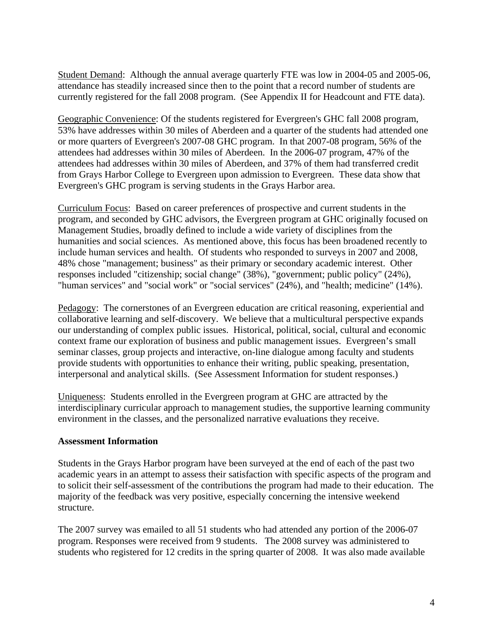Student Demand: Although the annual average quarterly FTE was low in 2004-05 and 2005-06, attendance has steadily increased since then to the point that a record number of students are currently registered for the fall 2008 program. (See Appendix II for Headcount and FTE data).

Geographic Convenience: Of the students registered for Evergreen's GHC fall 2008 program, 53% have addresses within 30 miles of Aberdeen and a quarter of the students had attended one or more quarters of Evergreen's 2007-08 GHC program. In that 2007-08 program, 56% of the attendees had addresses within 30 miles of Aberdeen. In the 2006-07 program, 47% of the attendees had addresses within 30 miles of Aberdeen, and 37% of them had transferred credit from Grays Harbor College to Evergreen upon admission to Evergreen. These data show that Evergreen's GHC program is serving students in the Grays Harbor area.

Curriculum Focus: Based on career preferences of prospective and current students in the program, and seconded by GHC advisors, the Evergreen program at GHC originally focused on Management Studies, broadly defined to include a wide variety of disciplines from the humanities and social sciences. As mentioned above, this focus has been broadened recently to include human services and health. Of students who responded to surveys in 2007 and 2008, 48% chose "management; business" as their primary or secondary academic interest. Other responses included "citizenship; social change" (38%), "government; public policy" (24%), "human services" and "social work" or "social services" (24%), and "health; medicine" (14%).

Pedagogy: The cornerstones of an Evergreen education are critical reasoning, experiential and collaborative learning and self-discovery. We believe that a multicultural perspective expands our understanding of complex public issues. Historical, political, social, cultural and economic context frame our exploration of business and public management issues. Evergreen's small seminar classes, group projects and interactive, on-line dialogue among faculty and students provide students with opportunities to enhance their writing, public speaking, presentation, interpersonal and analytical skills. (See Assessment Information for student responses.)

Uniqueness: Students enrolled in the Evergreen program at GHC are attracted by the interdisciplinary curricular approach to management studies, the supportive learning community environment in the classes, and the personalized narrative evaluations they receive.

## **Assessment Information**

Students in the Grays Harbor program have been surveyed at the end of each of the past two academic years in an attempt to assess their satisfaction with specific aspects of the program and to solicit their self-assessment of the contributions the program had made to their education. The majority of the feedback was very positive, especially concerning the intensive weekend structure.

The 2007 survey was emailed to all 51 students who had attended any portion of the 2006-07 program. Responses were received from 9 students. The 2008 survey was administered to students who registered for 12 credits in the spring quarter of 2008. It was also made available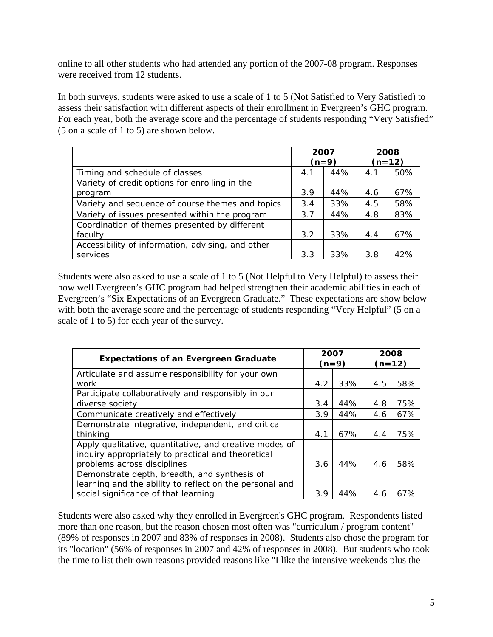online to all other students who had attended any portion of the 2007-08 program. Responses were received from 12 students.

In both surveys, students were asked to use a scale of 1 to 5 (Not Satisfied to Very Satisfied) to assess their satisfaction with different aspects of their enrollment in Evergreen's GHC program. For each year, both the average score and the percentage of students responding "Very Satisfied" (5 on a scale of 1 to 5) are shown below.

|                                                   | 2007<br>$(n=9)$ |     |     | 2008<br>$(n=12)$ |
|---------------------------------------------------|-----------------|-----|-----|------------------|
| Timing and schedule of classes                    | 4.1             | 44% | 4.1 | 50%              |
| Variety of credit options for enrolling in the    |                 |     |     |                  |
| program                                           | 3.9             | 44% | 4.6 | 67%              |
| Variety and sequence of course themes and topics  | 3.4             | 33% | 4.5 | 58%              |
| Variety of issues presented within the program    | 3.7             | 44% | 4.8 | 83%              |
| Coordination of themes presented by different     |                 |     |     |                  |
| faculty                                           | 3.2             | 33% | 4.4 | 67%              |
| Accessibility of information, advising, and other |                 |     |     |                  |
| services                                          | 3.3             | 33% | 3.8 | 42%              |

Students were also asked to use a scale of 1 to 5 (Not Helpful to Very Helpful) to assess their how well Evergreen's GHC program had helped strengthen their academic abilities in each of Evergreen's "Six Expectations of an Evergreen Graduate." These expectations are show below with both the average score and the percentage of students responding "Very Helpful" (5 on a scale of 1 to 5) for each year of the survey.

| <b>Expectations of an Evergreen Graduate</b>            | 2007 | $(n=9)$ |     | 2008<br>$(n=12)$ |
|---------------------------------------------------------|------|---------|-----|------------------|
| Articulate and assume responsibility for your own       |      |         |     |                  |
| work                                                    | 4.2  | 33%     | 4.5 | 58%              |
| Participate collaboratively and responsibly in our      |      |         |     |                  |
| diverse society                                         | 3.4  | 44%     | 4.8 | 75%              |
| Communicate creatively and effectively                  | 3.9  | 44%     | 4.6 | 67%              |
| Demonstrate integrative, independent, and critical      |      |         |     |                  |
| thinking                                                | 4.1  | 67%     | 4.4 | 75%              |
| Apply qualitative, quantitative, and creative modes of  |      |         |     |                  |
| inquiry appropriately to practical and theoretical      |      |         |     |                  |
| problems across disciplines                             | 3.6  | 44%     | 4.6 | 58%              |
| Demonstrate depth, breadth, and synthesis of            |      |         |     |                  |
| learning and the ability to reflect on the personal and |      |         |     |                  |
| social significance of that learning                    | 3.9  | 44%     | 4.6 | 67%              |

Students were also asked why they enrolled in Evergreen's GHC program. Respondents listed more than one reason, but the reason chosen most often was "curriculum / program content" (89% of responses in 2007 and 83% of responses in 2008). Students also chose the program for its "location" (56% of responses in 2007 and 42% of responses in 2008). But students who took the time to list their own reasons provided reasons like "I like the intensive weekends plus the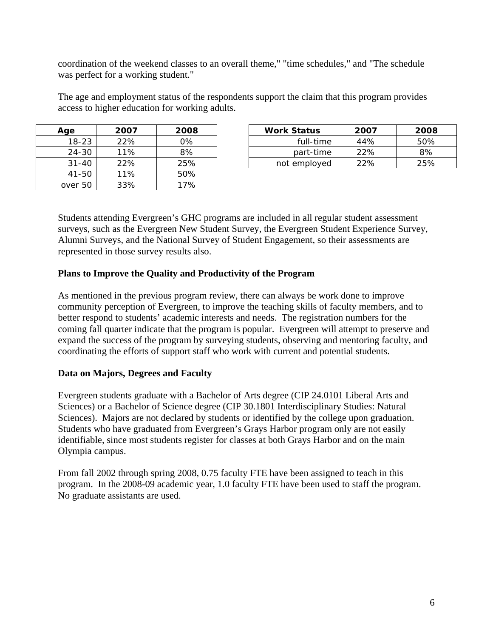coordination of the weekend classes to an overall theme," "time schedules," and "The schedule was perfect for a working student."

The age and employment status of the respondents support the claim that this program provides access to higher education for working adults.

| Age       | 2007 | 2008 |
|-----------|------|------|
| $18 - 23$ | 22%  | 0%   |
| $24 - 30$ | 11%  | 8%   |
| $31 - 40$ | 22%  | 25%  |
| 41-50     | 11%  | 50%  |
| over 50   | 33%  | 17%  |

| Age       | 2007 | 2008  | <b>Work Status</b> | 2007 | 2008 |
|-----------|------|-------|--------------------|------|------|
| 18-23     | 22%  | $0\%$ | full-time          | 44%  | 50%  |
| 24-30     | 11%  | 8%    | part-time          | 22%  | 8%   |
| $31 - 40$ | 22%  | 25%   | not employed       | 22%  | 25%  |

Students attending Evergreen's GHC programs are included in all regular student assessment surveys, such as the Evergreen New Student Survey, the Evergreen Student Experience Survey, Alumni Surveys, and the National Survey of Student Engagement, so their assessments are represented in those survey results also.

#### **Plans to Improve the Quality and Productivity of the Program**

As mentioned in the previous program review, there can always be work done to improve community perception of Evergreen, to improve the teaching skills of faculty members, and to better respond to students' academic interests and needs. The registration numbers for the coming fall quarter indicate that the program is popular. Evergreen will attempt to preserve and expand the success of the program by surveying students, observing and mentoring faculty, and coordinating the efforts of support staff who work with current and potential students.

## **Data on Majors, Degrees and Faculty**

Evergreen students graduate with a Bachelor of Arts degree (CIP 24.0101 Liberal Arts and Sciences) or a Bachelor of Science degree (CIP 30.1801 Interdisciplinary Studies: Natural Sciences). Majors are not declared by students or identified by the college upon graduation. Students who have graduated from Evergreen's Grays Harbor program only are not easily identifiable, since most students register for classes at both Grays Harbor and on the main Olympia campus.

From fall 2002 through spring 2008, 0.75 faculty FTE have been assigned to teach in this program. In the 2008-09 academic year, 1.0 faculty FTE have been used to staff the program. No graduate assistants are used.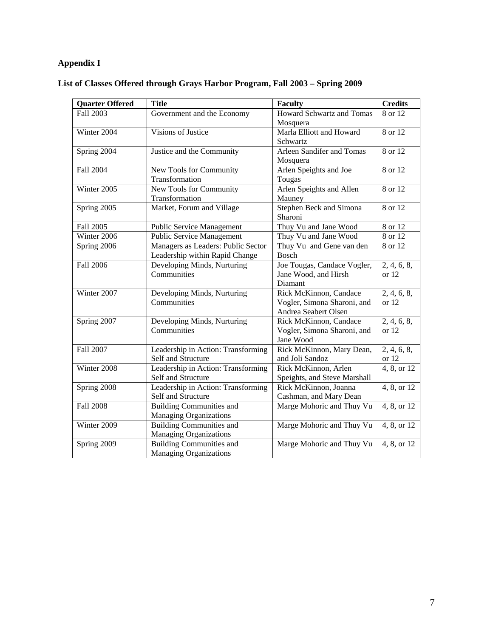# **Appendix I**

| <b>Quarter Offered</b> | <b>Title</b>                                                         | <b>Faculty</b>                                                                | <b>Credits</b>         |
|------------------------|----------------------------------------------------------------------|-------------------------------------------------------------------------------|------------------------|
| Fall 2003              | Government and the Economy                                           | <b>Howard Schwartz and Tomas</b><br>Mosquera                                  | 8 or 12                |
| Winter 2004            | Visions of Justice                                                   | Marla Elliott and Howard<br>Schwartz                                          | 8 or 12                |
| Spring 2004            | Justice and the Community                                            | Arleen Sandifer and Tomas<br>Mosquera                                         | 8 or 12                |
| <b>Fall 2004</b>       | New Tools for Community<br>Transformation                            | Arlen Speights and Joe<br>Tougas                                              | 8 or 12                |
| Winter 2005            | New Tools for Community<br>Transformation                            | Arlen Speights and Allen<br>Mauney                                            | 8 or 12                |
| Spring 2005            | Market, Forum and Village                                            | <b>Stephen Beck and Simona</b><br>Sharoni                                     | 8 or 12                |
| Fall 2005              | <b>Public Service Management</b>                                     | Thuy Vu and Jane Wood                                                         | 8 or 12                |
| Winter 2006            | <b>Public Service Management</b>                                     | Thuy Vu and Jane Wood                                                         | 8 or 12                |
| Spring 2006            | Managers as Leaders: Public Sector<br>Leadership within Rapid Change | Thuy Vu and Gene van den<br>Bosch                                             | $\overline{8}$ or 12   |
| <b>Fall 2006</b>       | Developing Minds, Nurturing<br>Communities                           | Joe Tougas, Candace Vogler,<br>Jane Wood, and Hirsh<br>Diamant                | 2, 4, 6, 8,<br>or $12$ |
| Winter 2007            | Developing Minds, Nurturing<br>Communities                           | Rick McKinnon, Candace<br>Vogler, Simona Sharoni, and<br>Andrea Seabert Olsen | 2, 4, 6, 8,<br>or $12$ |
| Spring 2007            | Developing Minds, Nurturing<br>Communities                           | Rick McKinnon, Candace<br>Vogler, Simona Sharoni, and<br>Jane Wood            | 2, 4, 6, 8,<br>or $12$ |
| Fall 2007              | Leadership in Action: Transforming<br>Self and Structure             | Rick McKinnon, Mary Dean,<br>and Joli Sandoz                                  | 2, 4, 6, 8,<br>or $12$ |
| Winter 2008            | Leadership in Action: Transforming<br>Self and Structure             | Rick McKinnon, Arlen<br>Speights, and Steve Marshall                          | 4, 8, or 12            |
| Spring 2008            | Leadership in Action: Transforming<br>Self and Structure             | Rick McKinnon, Joanna<br>Cashman, and Mary Dean                               | 4, 8, or 12            |
| <b>Fall 2008</b>       | <b>Building Communities and</b><br>Managing Organizations            | Marge Mohoric and Thuy Vu                                                     | 4, 8, or 12            |
| Winter 2009            | <b>Building Communities and</b><br>Managing Organizations            | Marge Mohoric and Thuy Vu                                                     | 4, 8, or 12            |
| Spring 2009            | <b>Building Communities and</b><br><b>Managing Organizations</b>     | Marge Mohoric and Thuy Vu                                                     | 4, 8, or 12            |

## **List of Classes Offered through Grays Harbor Program, Fall 2003 – Spring 2009**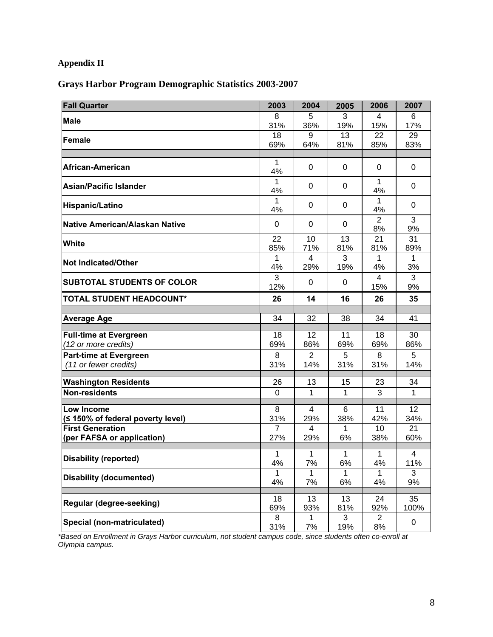# **Appendix II**

## **Grays Harbor Program Demographic Statistics 2003-2007**

| <b>Fall Quarter</b>                             | 2003           | 2004                  | 2005         | 2006                  | 2007      |
|-------------------------------------------------|----------------|-----------------------|--------------|-----------------------|-----------|
| <b>Male</b>                                     | 8              | 5                     | 3            | 4                     | 6         |
|                                                 | 31%            | 36%                   | 19%          | 15%                   | 17%       |
| <b>Female</b>                                   | 18             | 9                     | 13           | 22                    | 29        |
|                                                 | 69%            | 64%                   | 81%          | 85%                   | 83%       |
| African-American                                | 1              | 0                     | 0            | 0                     | 0         |
|                                                 | 4%<br>1        |                       |              | 1                     |           |
| <b>Asian/Pacific Islander</b>                   | 4%             | 0                     | 0            | 4%                    | 0         |
| <b>Hispanic/Latino</b>                          | 1<br>4%        | 0                     | 0            | $\mathbf{1}$<br>4%    | 0         |
| Native American/Alaskan Native                  | $\overline{0}$ | $\mathbf 0$           | 0            | $\overline{2}$<br>8%  | 3<br>9%   |
| White                                           | 22<br>85%      | 10<br>71%             | 13<br>81%    | 21<br>81%             | 31<br>89% |
|                                                 |                | 4                     | 3            | 1                     | 1         |
| <b>Not Indicated/Other</b>                      | 4%             | 29%                   | 19%          | 4%                    | 3%        |
| <b>SUBTOTAL STUDENTS OF COLOR</b>               | 3<br>12%       | 0                     | 0            | $\overline{4}$<br>15% | 3<br>9%   |
| <b>TOTAL STUDENT HEADCOUNT*</b>                 | 26             | 14                    | 16           | 26                    | 35        |
|                                                 |                |                       |              |                       |           |
| <b>Average Age</b>                              | 34             | 32                    | 38           | 34                    | 41        |
| <b>Full-time at Evergreen</b>                   | 18             | 12                    | 11           | 18                    | 30        |
| (12 or more credits)                            | 69%            | 86%                   | 69%          | 69%                   | 86%       |
| <b>Part-time at Evergreen</b>                   | 8              | 2                     | 5            | 8                     | 5         |
| (11 or fewer credits)                           | 31%            | 14%                   | 31%          | 31%                   | 14%       |
| <b>Washington Residents</b>                     | 26             | 13                    | 15           | 23                    | 34        |
| <b>Non-residents</b>                            | $\Omega$       | 1                     | 1            | 3                     | 1         |
|                                                 |                |                       |              |                       |           |
| Low Income<br>(≤ 150% of federal poverty level) | 8<br>31%       | $\overline{4}$<br>29% | 6<br>38%     | 11<br>42%             | 12<br>34% |
| <b>First Generation</b>                         | $\overline{7}$ | 4                     | 1            | 10                    | 21        |
| (per FAFSA or application)                      | 27%            | 29%                   | 6%           | 38%                   | 60%       |
|                                                 | 1              | 1                     | $\mathbf{1}$ | $\mathbf{1}$          | 4         |
| <b>Disability (reported)</b>                    | 4%             | 7%                    | 6%           | 4%                    | 11%       |
| <b>Disability (documented)</b>                  | 1              | 1                     | 1            | $\mathbf{1}$          | 3         |
|                                                 | 4%             | 7%                    | 6%           | 4%                    | 9%        |
| Regular (degree-seeking)                        | 18             | 13                    | 13           | 24                    | 35        |
|                                                 | 69%            | 93%                   | 81%          | 92%                   | 100%      |
| Special (non-matriculated)                      | 8              | 1                     | 3            | $\overline{2}$        | 0         |
|                                                 | 31%            | 7%                    | 19%          | 8%                    |           |

*\*Based on Enrollment in Grays Harbor curriculum, not student campus code, since students often co-enroll at Olympia campus.*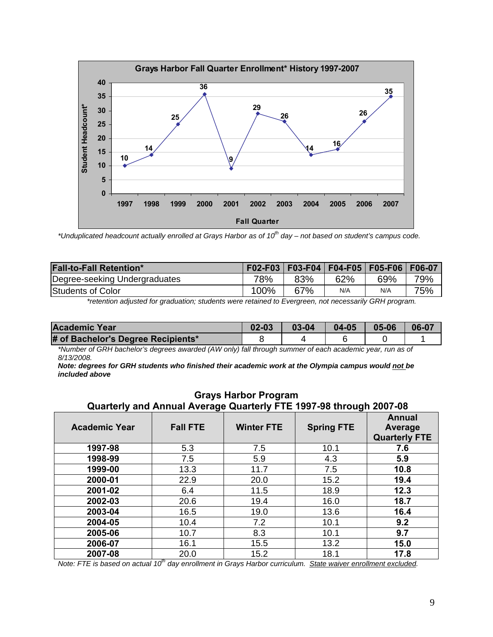

\*Unduplicated headcount actually enrolled at Grays Harbor as of 10<sup>th</sup> day – not based on student's campus code.

| <b>Fall-to-Fall Retention*</b> |      |     | F02-F03   F03-F04   F04-F05   F05-F06   F06-07 |     |     |
|--------------------------------|------|-----|------------------------------------------------|-----|-----|
| Degree-seeking Undergraduates  | 78%  | 83% | 62%                                            | 69% | 79% |
| Students of Color              | 100% | 67% | N/A                                            | N/A | 75% |

*\*retention adjusted for graduation; students were retained to Evergreen, not necessarily GRH program.* 

| Academic Year                      | $02 - 03$ | $03 - 04$ | $04 - 05$ | $05 - 06$ | 06-07 |
|------------------------------------|-----------|-----------|-----------|-----------|-------|
| # of Bachelor's Degree Recipients* |           |           |           |           |       |

*\*Number of GRH bachelor's degrees awarded (AW only) fall through summer of each academic year, run as of 8/13/2008.* 

*Note: degrees for GRH students who finished their academic work at the Olympia campus would not be included above*

| Quarterly and Annual Average Quarterly FTE 1997-98 through 2007-08 |                 |                   |                   |                                           |  |  |  |
|--------------------------------------------------------------------|-----------------|-------------------|-------------------|-------------------------------------------|--|--|--|
| <b>Academic Year</b>                                               | <b>Fall FTE</b> | <b>Winter FTE</b> | <b>Spring FTE</b> | Annual<br>Average<br><b>Quarterly FTE</b> |  |  |  |
| 1997-98                                                            | 5.3             | 7.5               | 10.1              | 7.6                                       |  |  |  |
| 1998-99                                                            | 7.5             | 5.9               | 4.3               | 5.9                                       |  |  |  |
| 1999-00                                                            | 13.3            | 11.7              | 7.5               | 10.8                                      |  |  |  |
| 2000-01                                                            | 22.9            | 20.0              | 15.2              | 19.4                                      |  |  |  |
| 2001-02                                                            | 6.4             | 11.5              | 18.9              | 12.3                                      |  |  |  |
| 2002-03                                                            | 20.6            | 19.4              | 16.0              | 18.7                                      |  |  |  |
| 2003-04                                                            | 16.5            | 19.0              | 13.6              | 16.4                                      |  |  |  |
| 2004-05                                                            | 10.4            | 7.2               | 10.1              | 9.2                                       |  |  |  |
| 2005-06                                                            | 10.7            | 8.3               | 10.1              | 9.7                                       |  |  |  |
| 2006-07                                                            | 16.1            | 15.5              | 13.2              | 15.0                                      |  |  |  |
| 2007-08                                                            | 20.0            | 15.2              | 18.1              | 17.8                                      |  |  |  |

**Grays Harbor Program** 

*Note: FTE is based on actual 10<sup>th</sup> day enrollment in Grays Harbor curriculum. State waiver enrollment excluded.*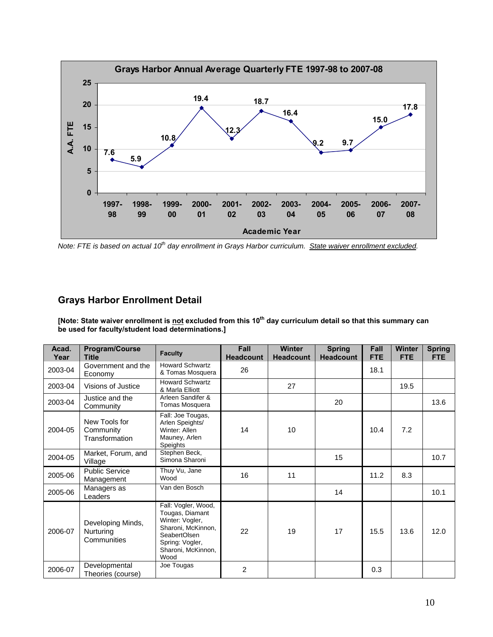

*Note: FTE is based on actual 10<sup>th</sup> day enrollment in Grays Harbor curriculum. State waiver enrollment excluded.* 

## **Grays Harbor Enrollment Detail**

[Note: State waiver enrollment is <u>not</u> excluded from this 10<sup>th</sup> day curriculum detail so that this summary can **be used for faculty/student load determinations.]** 

| Acad.<br>Year | <b>Program/Course</b><br><b>Title</b>         | <b>Faculty</b>                                                                                                                                   | Fall<br><b>Headcount</b> | <b>Winter</b><br><b>Headcount</b> | <b>Spring</b><br><b>Headcount</b> | Fall<br><b>FTE</b> | Winter<br><b>FTE</b> | <b>Spring</b><br><b>FTE</b> |
|---------------|-----------------------------------------------|--------------------------------------------------------------------------------------------------------------------------------------------------|--------------------------|-----------------------------------|-----------------------------------|--------------------|----------------------|-----------------------------|
| 2003-04       | Government and the<br>Economy                 | <b>Howard Schwartz</b><br>& Tomas Mosquera                                                                                                       | 26                       |                                   |                                   | 18.1               |                      |                             |
| 2003-04       | Visions of Justice                            | <b>Howard Schwartz</b><br>& Marla Elliott                                                                                                        |                          | 27                                |                                   |                    | 19.5                 |                             |
| 2003-04       | Justice and the<br>Community                  | Arleen Sandifer &<br>Tomas Mosquera                                                                                                              |                          |                                   | 20                                |                    |                      | 13.6                        |
| 2004-05       | New Tools for<br>Community<br>Transformation  | Fall: Joe Tougas,<br>Arlen Speights/<br>Winter: Allen<br>Mauney, Arlen<br>Speights                                                               | 14                       | 10                                |                                   | 10.4               | 7.2                  |                             |
| 2004-05       | Market, Forum, and<br>Village                 | Stephen Beck,<br>Simona Sharoni                                                                                                                  |                          |                                   | 15                                |                    |                      | 10.7                        |
| 2005-06       | <b>Public Service</b><br>Management           | Thuy Vu, Jane<br>Wood                                                                                                                            | 16                       | 11                                |                                   | 11.2               | 8.3                  |                             |
| 2005-06       | Managers as<br>Leaders                        | Van den Bosch                                                                                                                                    |                          |                                   | 14                                |                    |                      | 10.1                        |
| 2006-07       | Developing Minds,<br>Nurturing<br>Communities | Fall: Vogler, Wood,<br>Tougas, Diamant<br>Winter: Vogler,<br>Sharoni, McKinnon,<br>SeabertOlsen<br>Spring: Vogler,<br>Sharoni, McKinnon,<br>Wood | 22                       | 19                                | 17                                | 15.5               | 13.6                 | 12.0                        |
| 2006-07       | Developmental<br>Theories (course)            | Joe Tougas                                                                                                                                       | $\overline{2}$           |                                   |                                   | 0.3                |                      |                             |